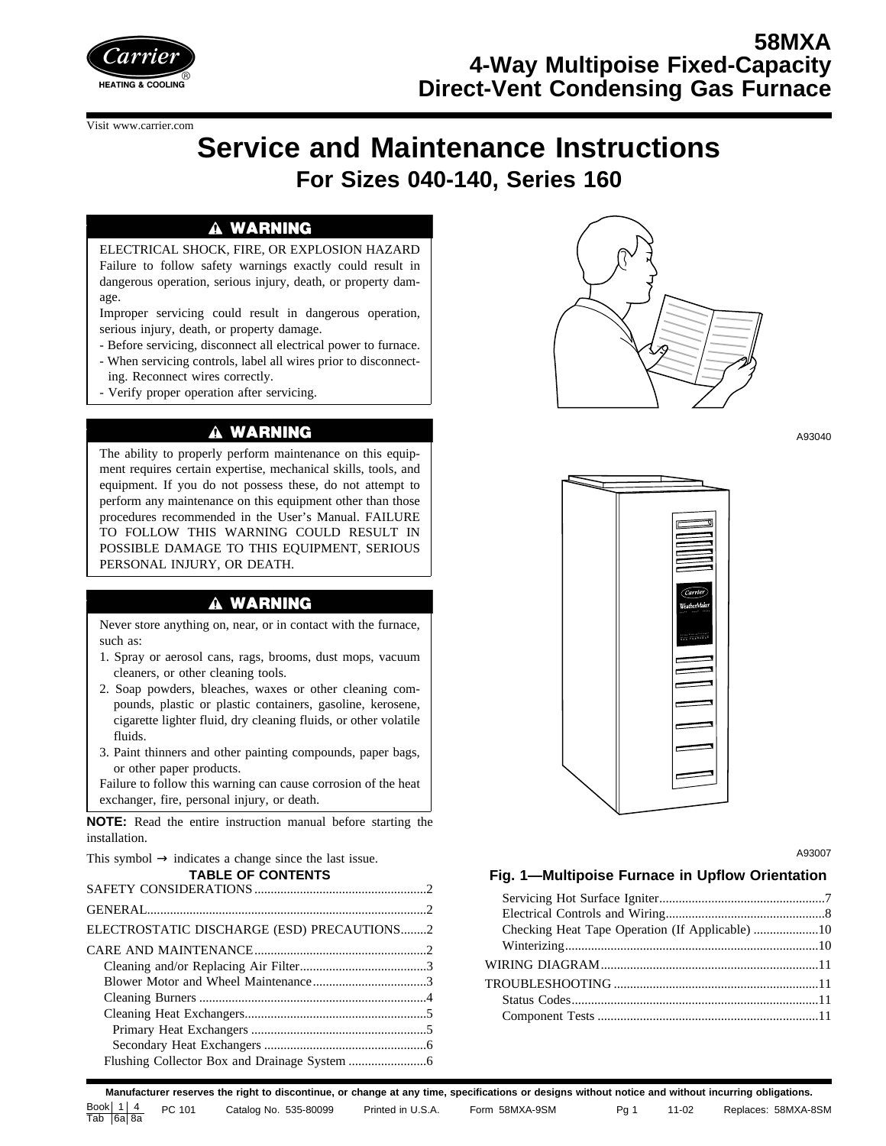

#### Visit www.carrier.com

# **Service and Maintenance Instructions For Sizes 040-140, Series 160**

#### A WARNING

ELECTRICAL SHOCK, FIRE, OR EXPLOSION HAZARD Failure to follow safety warnings exactly could result in dangerous operation, serious injury, death, or property damage.

Improper servicing could result in dangerous operation, serious injury, death, or property damage.

- Before servicing, disconnect all electrical power to furnace.

- When servicing controls, label all wires prior to disconnecting. Reconnect wires correctly.

- Verify proper operation after servicing.

### A WARNING

The ability to properly perform maintenance on this equipment requires certain expertise, mechanical skills, tools, and equipment. If you do not possess these, do not attempt to perform any maintenance on this equipment other than those procedures recommended in the User's Manual. FAILURE TO FOLLOW THIS WARNING COULD RESULT IN POSSIBLE DAMAGE TO THIS EQUIPMENT, SERIOUS PERSONAL INJURY, OR DEATH.

#### A WARNING

Never store anything on, near, or in contact with the furnace, such as:

- 1. Spray or aerosol cans, rags, brooms, dust mops, vacuum cleaners, or other cleaning tools.
- 2. Soap powders, bleaches, waxes or other cleaning compounds, plastic or plastic containers, gasoline, kerosene, cigarette lighter fluid, dry cleaning fluids, or other volatile fluids.
- 3. Paint thinners and other painting compounds, paper bags, or other paper products.

Failure to follow this warning can cause corrosion of the heat exchanger, fire, personal injury, or death.

**NOTE:** Read the entire instruction manual before starting the installation.

This symbol  $\rightarrow$  indicates a change since the last issue. **TABLE OF CONTENTS** SAFETY CONSIDERATIONS .....................................................2 GENERAL......................................................................................2 ELECTROSTATIC DISCHARGE (ESD) PRECAUTIONS........2 CARE AND MAINTENANCE.....................................................2 Cleaning and/or Replacing Air Filter.......................................3 Blower Motor and Wheel Maintenance...................................3 Cleaning Burners ......................................................................4 Cleaning Heat Exchangers........................................................5 Primary Heat Exchangers ......................................................5 Secondary Heat Exchangers ..................................................6 Flushing Collector Box and Drainage System ........................6



A93040



A93007

#### **Fig. 1—Multipoise Furnace in Upflow Orientation**

**Manufacturer reserves the right to discontinue, or change at any time, specifications or designs without notice and without incurring obligations.** Book  $1 | 4$ BOOKETE4 PC 101 Catalog No. 535-80099 Printed in U.S.A. Form 58MXA-9SM Pg 1 11-02 Replaces: 58MXA-8SM<br>Tab |6a 8a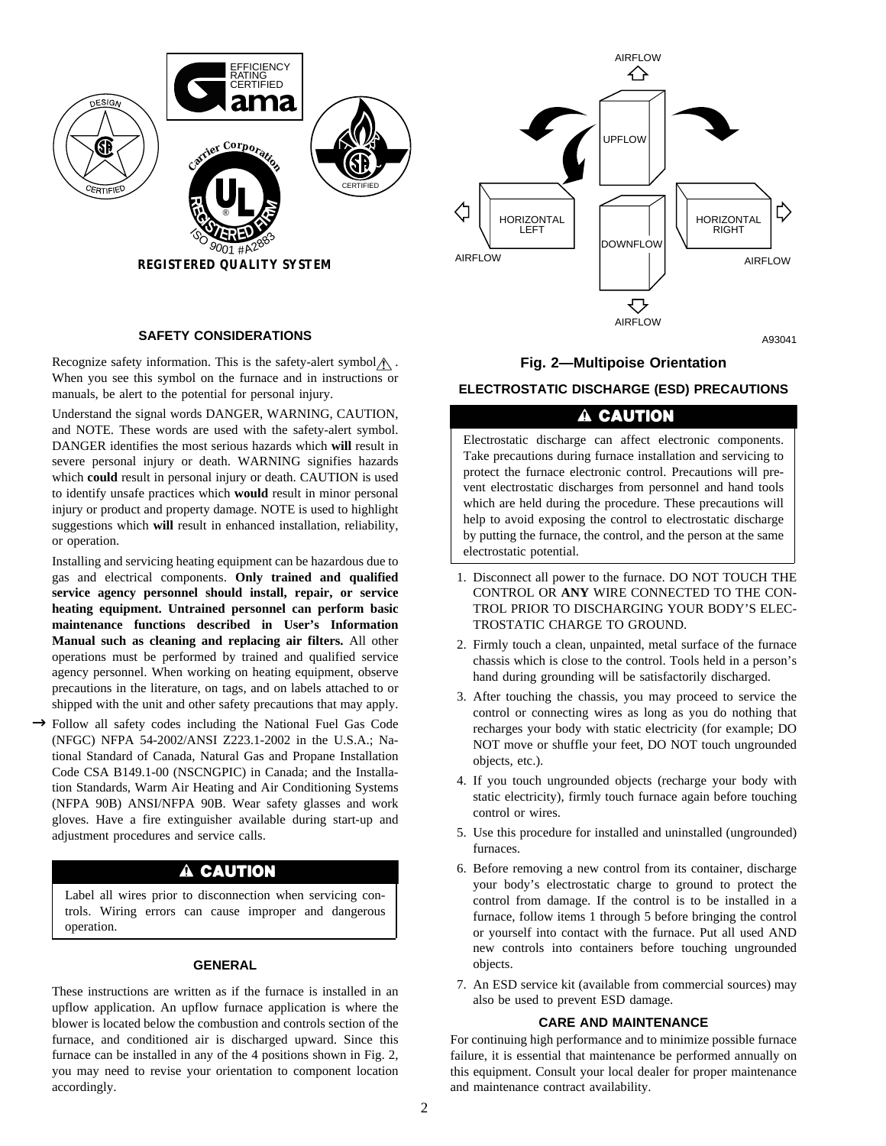

#### **SAFETY CONSIDERATIONS**

Recognize safety information. This is the safety-alert symbol  $\wedge$ . When you see this symbol on the furnace and in instructions or manuals, be alert to the potential for personal injury.

Understand the signal words DANGER, WARNING, CAUTION, and NOTE. These words are used with the safety-alert symbol. DANGER identifies the most serious hazards which **will** result in severe personal injury or death. WARNING signifies hazards which **could** result in personal injury or death. CAUTION is used to identify unsafe practices which **would** result in minor personal injury or product and property damage. NOTE is used to highlight suggestions which **will** result in enhanced installation, reliability, or operation.

Installing and servicing heating equipment can be hazardous due to gas and electrical components. **Only trained and qualified service agency personnel should install, repair, or service heating equipment. Untrained personnel can perform basic maintenance functions described in User's Information Manual such as cleaning and replacing air filters.** All other operations must be performed by trained and qualified service agency personnel. When working on heating equipment, observe precautions in the literature, on tags, and on labels attached to or shipped with the unit and other safety precautions that may apply.

→ Follow all safety codes including the National Fuel Gas Code (NFGC) NFPA 54-2002/ANSI Z223.1-2002 in the U.S.A.; National Standard of Canada, Natural Gas and Propane Installation Code CSA B149.1-00 (NSCNGPIC) in Canada; and the Installation Standards, Warm Air Heating and Air Conditioning Systems (NFPA 90B) ANSI/NFPA 90B. Wear safety glasses and work gloves. Have a fire extinguisher available during start-up and adjustment procedures and service calls.

### A CAUTION

Label all wires prior to disconnection when servicing controls. Wiring errors can cause improper and dangerous operation.

#### **GENERAL**

These instructions are written as if the furnace is installed in an upflow application. An upflow furnace application is where the blower is located below the combustion and controls section of the furnace, and conditioned air is discharged upward. Since this furnace can be installed in any of the 4 positions shown in Fig. 2, you may need to revise your orientation to component location accordingly.



A93041

#### **Fig. 2—Multipoise Orientation**

#### **ELECTROSTATIC DISCHARGE (ESD) PRECAUTIONS**

### **A CAUTION**

Electrostatic discharge can affect electronic components. Take precautions during furnace installation and servicing to protect the furnace electronic control. Precautions will prevent electrostatic discharges from personnel and hand tools which are held during the procedure. These precautions will help to avoid exposing the control to electrostatic discharge by putting the furnace, the control, and the person at the same electrostatic potential.

- 1. Disconnect all power to the furnace. DO NOT TOUCH THE CONTROL OR **ANY** WIRE CONNECTED TO THE CON-TROL PRIOR TO DISCHARGING YOUR BODY'S ELEC-TROSTATIC CHARGE TO GROUND.
- 2. Firmly touch a clean, unpainted, metal surface of the furnace chassis which is close to the control. Tools held in a person's hand during grounding will be satisfactorily discharged.
- 3. After touching the chassis, you may proceed to service the control or connecting wires as long as you do nothing that recharges your body with static electricity (for example; DO NOT move or shuffle your feet, DO NOT touch ungrounded objects, etc.).
- 4. If you touch ungrounded objects (recharge your body with static electricity), firmly touch furnace again before touching control or wires.
- 5. Use this procedure for installed and uninstalled (ungrounded) furnaces.
- 6. Before removing a new control from its container, discharge your body's electrostatic charge to ground to protect the control from damage. If the control is to be installed in a furnace, follow items 1 through 5 before bringing the control or yourself into contact with the furnace. Put all used AND new controls into containers before touching ungrounded objects.
- 7. An ESD service kit (available from commercial sources) may also be used to prevent ESD damage.

#### **CARE AND MAINTENANCE**

For continuing high performance and to minimize possible furnace failure, it is essential that maintenance be performed annually on this equipment. Consult your local dealer for proper maintenance and maintenance contract availability.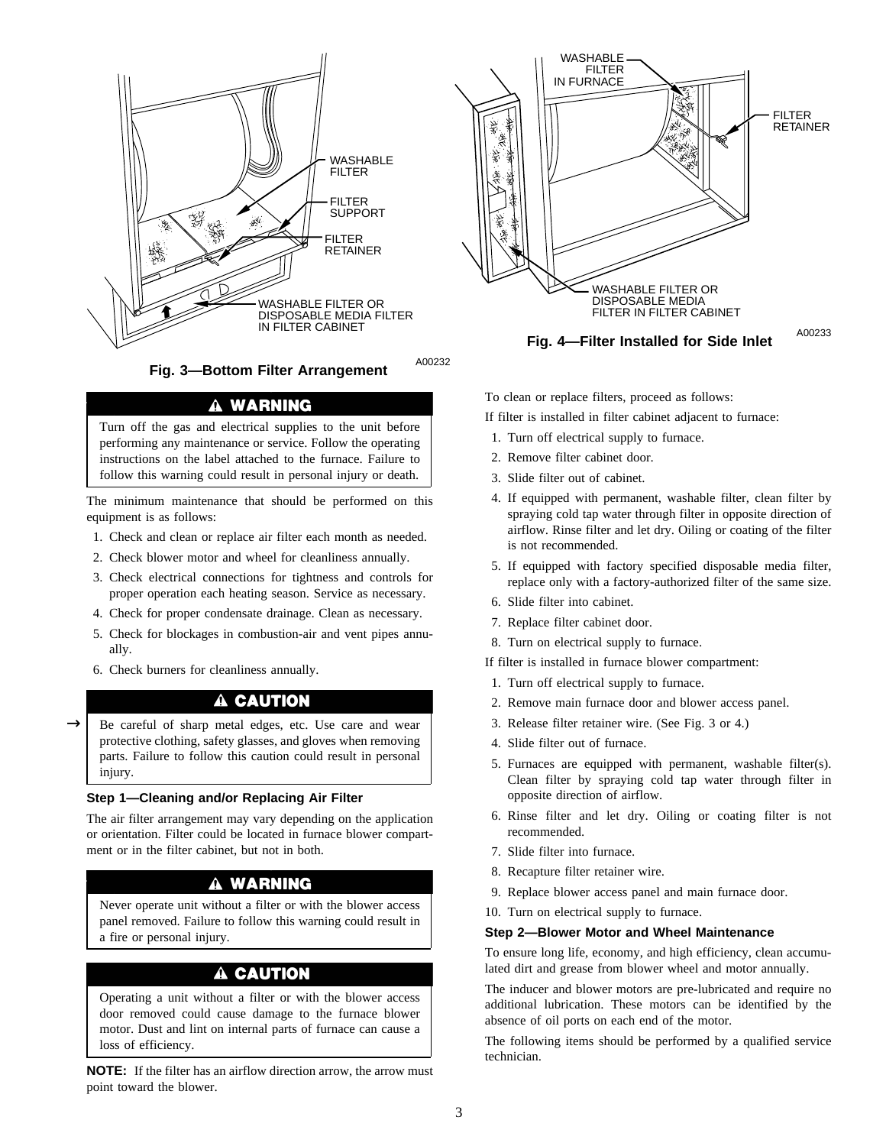

A00232 **Fig. 3—Bottom Filter Arrangement**

### A WARNING

Turn off the gas and electrical supplies to the unit before performing any maintenance or service. Follow the operating instructions on the label attached to the furnace. Failure to follow this warning could result in personal injury or death.

The minimum maintenance that should be performed on this equipment is as follows:

- 1. Check and clean or replace air filter each month as needed.
- 2. Check blower motor and wheel for cleanliness annually.
- 3. Check electrical connections for tightness and controls for proper operation each heating season. Service as necessary.
- 4. Check for proper condensate drainage. Clean as necessary.
- 5. Check for blockages in combustion-air and vent pipes annually.
- 6. Check burners for cleanliness annually.

### A CAUTION

Be careful of sharp metal edges, etc. Use care and wear protective clothing, safety glasses, and gloves when removing parts. Failure to follow this caution could result in personal injury.  $\rightarrow$ 

#### **Step 1—Cleaning and/or Replacing Air Filter**

The air filter arrangement may vary depending on the application or orientation. Filter could be located in furnace blower compartment or in the filter cabinet, but not in both.

#### A WARNING

Never operate unit without a filter or with the blower access panel removed. Failure to follow this warning could result in a fire or personal injury.

### A CAUTION

Operating a unit without a filter or with the blower access door removed could cause damage to the furnace blower motor. Dust and lint on internal parts of furnace can cause a loss of efficiency.

**NOTE:** If the filter has an airflow direction arrow, the arrow must point toward the blower.



To clean or replace filters, proceed as follows:

If filter is installed in filter cabinet adjacent to furnace:

- 1. Turn off electrical supply to furnace.
- 2. Remove filter cabinet door.
- 3. Slide filter out of cabinet.
- 4. If equipped with permanent, washable filter, clean filter by spraying cold tap water through filter in opposite direction of airflow. Rinse filter and let dry. Oiling or coating of the filter is not recommended.
- 5. If equipped with factory specified disposable media filter, replace only with a factory-authorized filter of the same size.
- 6. Slide filter into cabinet.
- 7. Replace filter cabinet door.
- 8. Turn on electrical supply to furnace.
- If filter is installed in furnace blower compartment:
- 1. Turn off electrical supply to furnace.
- 2. Remove main furnace door and blower access panel.
- 3. Release filter retainer wire. (See Fig. 3 or 4.)
- 4. Slide filter out of furnace.
- 5. Furnaces are equipped with permanent, washable filter(s). Clean filter by spraying cold tap water through filter in opposite direction of airflow.
- 6. Rinse filter and let dry. Oiling or coating filter is not recommended.
- 7. Slide filter into furnace.
- 8. Recapture filter retainer wire.
- 9. Replace blower access panel and main furnace door.
- 10. Turn on electrical supply to furnace.

#### **Step 2—Blower Motor and Wheel Maintenance**

To ensure long life, economy, and high efficiency, clean accumulated dirt and grease from blower wheel and motor annually.

The inducer and blower motors are pre-lubricated and require no additional lubrication. These motors can be identified by the absence of oil ports on each end of the motor.

The following items should be performed by a qualified service technician.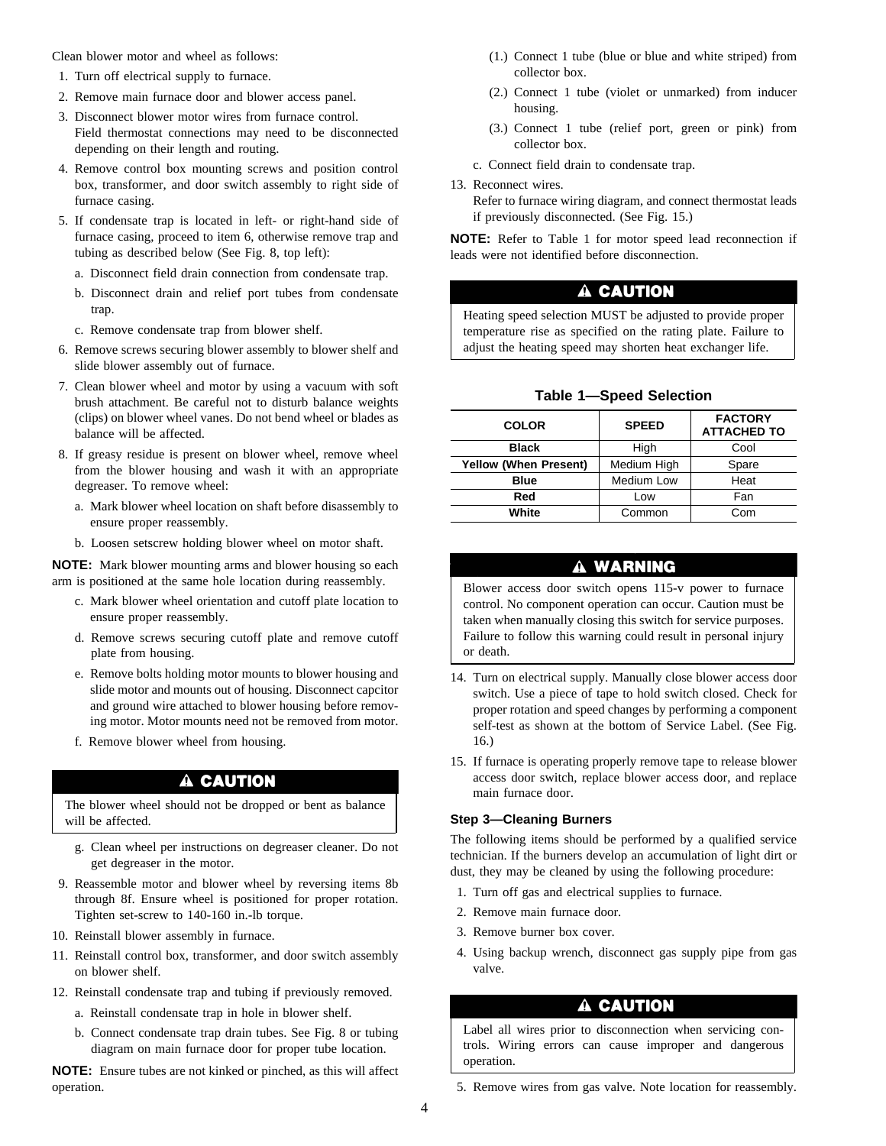Clean blower motor and wheel as follows:

- 1. Turn off electrical supply to furnace.
- 2. Remove main furnace door and blower access panel.
- 3. Disconnect blower motor wires from furnace control. Field thermostat connections may need to be disconnected depending on their length and routing.
- 4. Remove control box mounting screws and position control box, transformer, and door switch assembly to right side of furnace casing.
- 5. If condensate trap is located in left- or right-hand side of furnace casing, proceed to item 6, otherwise remove trap and tubing as described below (See Fig. 8, top left):
	- a. Disconnect field drain connection from condensate trap.
	- b. Disconnect drain and relief port tubes from condensate trap.
	- c. Remove condensate trap from blower shelf.
- 6. Remove screws securing blower assembly to blower shelf and slide blower assembly out of furnace.
- 7. Clean blower wheel and motor by using a vacuum with soft brush attachment. Be careful not to disturb balance weights (clips) on blower wheel vanes. Do not bend wheel or blades as balance will be affected.
- 8. If greasy residue is present on blower wheel, remove wheel from the blower housing and wash it with an appropriate degreaser. To remove wheel:
	- a. Mark blower wheel location on shaft before disassembly to ensure proper reassembly.
	- b. Loosen setscrew holding blower wheel on motor shaft.

**NOTE:** Mark blower mounting arms and blower housing so each arm is positioned at the same hole location during reassembly.

- c. Mark blower wheel orientation and cutoff plate location to ensure proper reassembly.
- d. Remove screws securing cutoff plate and remove cutoff plate from housing.
- e. Remove bolts holding motor mounts to blower housing and slide motor and mounts out of housing. Disconnect capcitor and ground wire attached to blower housing before removing motor. Motor mounts need not be removed from motor.
- f. Remove blower wheel from housing.

### A CAUTION

The blower wheel should not be dropped or bent as balance will be affected.

- g. Clean wheel per instructions on degreaser cleaner. Do not get degreaser in the motor.
- 9. Reassemble motor and blower wheel by reversing items 8b through 8f. Ensure wheel is positioned for proper rotation. Tighten set-screw to 140-160 in.-lb torque.
- 10. Reinstall blower assembly in furnace.
- 11. Reinstall control box, transformer, and door switch assembly on blower shelf.
- 12. Reinstall condensate trap and tubing if previously removed.
	- a. Reinstall condensate trap in hole in blower shelf.
	- b. Connect condensate trap drain tubes. See Fig. 8 or tubing diagram on main furnace door for proper tube location.

**NOTE:** Ensure tubes are not kinked or pinched, as this will affect operation.

- (1.) Connect 1 tube (blue or blue and white striped) from collector box.
- (2.) Connect 1 tube (violet or unmarked) from inducer housing.
- (3.) Connect 1 tube (relief port, green or pink) from collector box.
- c. Connect field drain to condensate trap.
- 13. Reconnect wires.

Refer to furnace wiring diagram, and connect thermostat leads if previously disconnected. (See Fig. 15.)

**NOTE:** Refer to Table 1 for motor speed lead reconnection if leads were not identified before disconnection.

### **A CAUTION**

Heating speed selection MUST be adjusted to provide proper temperature rise as specified on the rating plate. Failure to adjust the heating speed may shorten heat exchanger life.

#### **Table 1—Speed Selection**

| <b>COLOR</b>                 | <b>SPEED</b> | <b>FACTORY</b><br><b>ATTACHED TO</b> |
|------------------------------|--------------|--------------------------------------|
| <b>Black</b>                 | High         | Cool                                 |
| <b>Yellow (When Present)</b> | Medium High  | Spare                                |
| <b>Blue</b>                  | Medium Low   | Heat                                 |
| Red                          | Low          | Fan                                  |
| White                        | Common       | Com                                  |

#### A WARNING

Blower access door switch opens 115-v power to furnace control. No component operation can occur. Caution must be taken when manually closing this switch for service purposes. Failure to follow this warning could result in personal injury or death.

- 14. Turn on electrical supply. Manually close blower access door switch. Use a piece of tape to hold switch closed. Check for proper rotation and speed changes by performing a component self-test as shown at the bottom of Service Label. (See Fig. 16.)
- 15. If furnace is operating properly remove tape to release blower access door switch, replace blower access door, and replace main furnace door.

#### **Step 3—Cleaning Burners**

The following items should be performed by a qualified service technician. If the burners develop an accumulation of light dirt or dust, they may be cleaned by using the following procedure:

- 1. Turn off gas and electrical supplies to furnace.
- 2. Remove main furnace door.
- 3. Remove burner box cover.
- 4. Using backup wrench, disconnect gas supply pipe from gas valve.

#### A CAUTION

Label all wires prior to disconnection when servicing controls. Wiring errors can cause improper and dangerous operation.

5. Remove wires from gas valve. Note location for reassembly.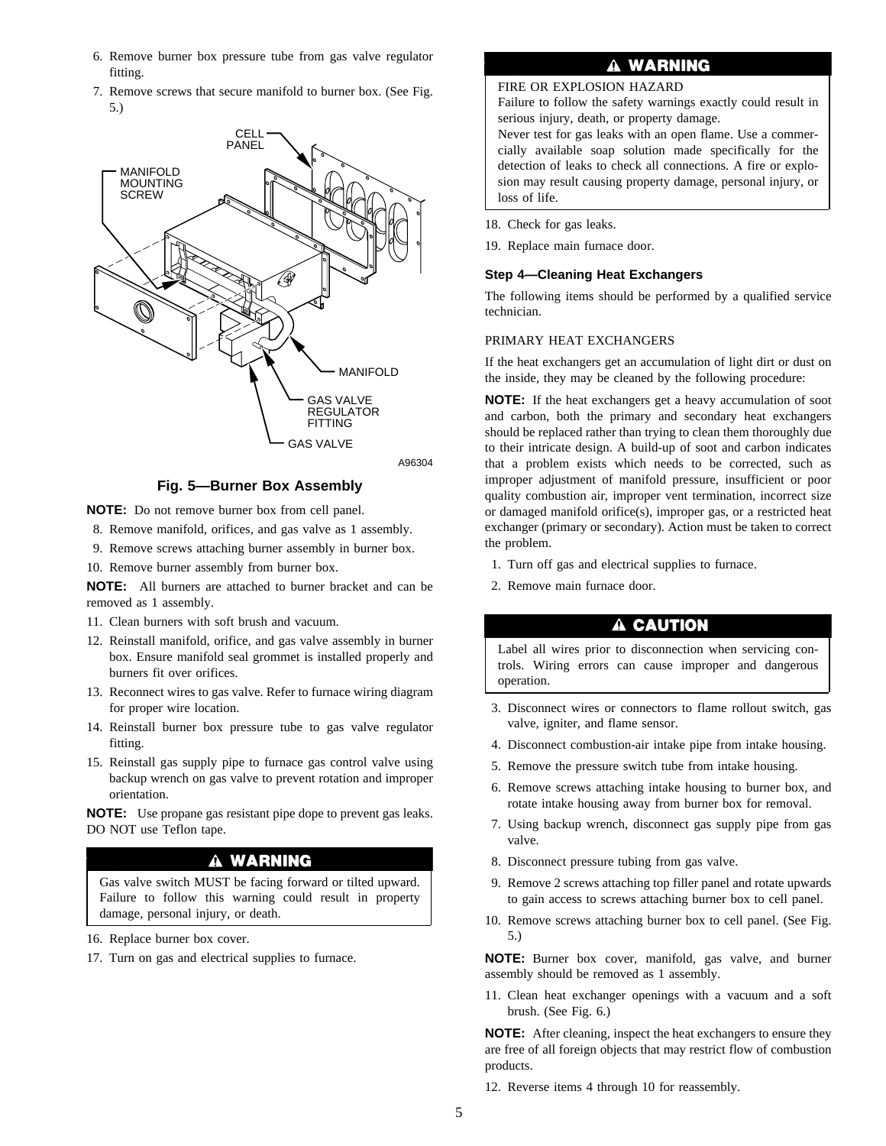- 6. Remove burner box pressure tube from gas valve regulator fitting.
- 7. Remove screws that secure manifold to burner box. (See Fig. 5.)



**Fig. 5—Burner Box Assembly**

**NOTE:** Do not remove burner box from cell panel.

- 8. Remove manifold, orifices, and gas valve as 1 assembly.
- 9. Remove screws attaching burner assembly in burner box.
- 10. Remove burner assembly from burner box.

**NOTE:** All burners are attached to burner bracket and can be removed as 1 assembly.

- 11. Clean burners with soft brush and vacuum.
- 12. Reinstall manifold, orifice, and gas valve assembly in burner box. Ensure manifold seal grommet is installed properly and burners fit over orifices.
- 13. Reconnect wires to gas valve. Refer to furnace wiring diagram for proper wire location.
- 14. Reinstall burner box pressure tube to gas valve regulator fitting.
- 15. Reinstall gas supply pipe to furnace gas control valve using backup wrench on gas valve to prevent rotation and improper orientation.

**NOTE:** Use propane gas resistant pipe dope to prevent gas leaks. DO NOT use Teflon tape.

#### A WARNING

Gas valve switch MUST be facing forward or tilted upward. Failure to follow this warning could result in property damage, personal injury, or death.

- 16. Replace burner box cover.
- 17. Turn on gas and electrical supplies to furnace.

#### **WARNING** A

FIRE OR EXPLOSION HAZARD

Failure to follow the safety warnings exactly could result in serious injury, death, or property damage.

Never test for gas leaks with an open flame. Use a commercially available soap solution made specifically for the detection of leaks to check all connections. A fire or explosion may result causing property damage, personal injury, or loss of life.

- 18. Check for gas leaks.
- 19. Replace main furnace door.

#### **Step 4—Cleaning Heat Exchangers**

The following items should be performed by a qualified service technician.

#### PRIMARY HEAT EXCHANGERS

If the heat exchangers get an accumulation of light dirt or dust on the inside, they may be cleaned by the following procedure:

**NOTE:** If the heat exchangers get a heavy accumulation of soot and carbon, both the primary and secondary heat exchangers should be replaced rather than trying to clean them thoroughly due to their intricate design. A build-up of soot and carbon indicates that a problem exists which needs to be corrected, such as improper adjustment of manifold pressure, insufficient or poor quality combustion air, improper vent termination, incorrect size or damaged manifold orifice(s), improper gas, or a restricted heat exchanger (primary or secondary). Action must be taken to correct the problem.

- 1. Turn off gas and electrical supplies to furnace.
- 2. Remove main furnace door.

### A CAUTION

Label all wires prior to disconnection when servicing controls. Wiring errors can cause improper and dangerous operation.

- 3. Disconnect wires or connectors to flame rollout switch, gas valve, igniter, and flame sensor.
- 4. Disconnect combustion-air intake pipe from intake housing.
- 5. Remove the pressure switch tube from intake housing.
- 6. Remove screws attaching intake housing to burner box, and rotate intake housing away from burner box for removal.
- 7. Using backup wrench, disconnect gas supply pipe from gas valve.
- 8. Disconnect pressure tubing from gas valve.
- 9. Remove 2 screws attaching top filler panel and rotate upwards to gain access to screws attaching burner box to cell panel.
- 10. Remove screws attaching burner box to cell panel. (See Fig. 5.)

**NOTE:** Burner box cover, manifold, gas valve, and burner assembly should be removed as 1 assembly.

11. Clean heat exchanger openings with a vacuum and a soft brush. (See Fig. 6.)

**NOTE:** After cleaning, inspect the heat exchangers to ensure they are free of all foreign objects that may restrict flow of combustion products.

12. Reverse items 4 through 10 for reassembly.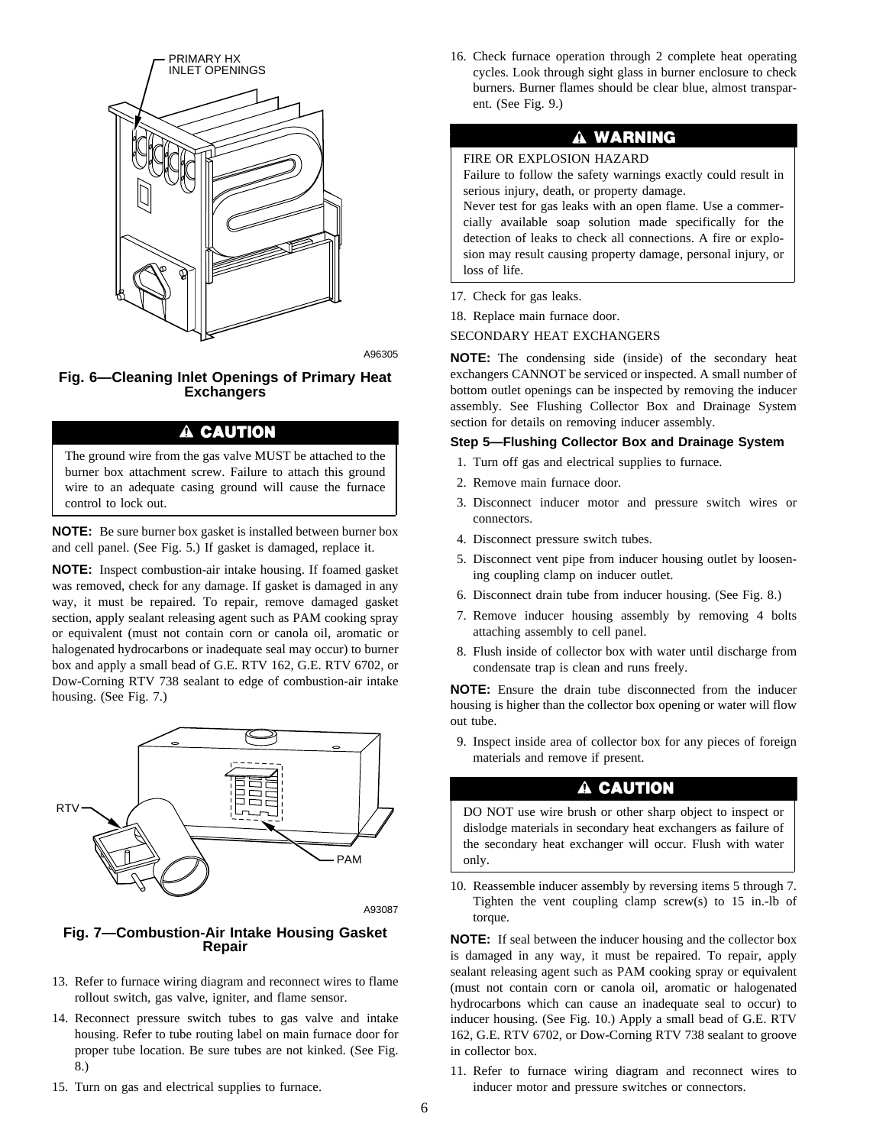

A96305

#### **Fig. 6—Cleaning Inlet Openings of Primary Heat Exchangers**

### A CAUTION

The ground wire from the gas valve MUST be attached to the burner box attachment screw. Failure to attach this ground wire to an adequate casing ground will cause the furnace control to lock out.

**NOTE:** Be sure burner box gasket is installed between burner box and cell panel. (See Fig. 5.) If gasket is damaged, replace it.

**NOTE:** Inspect combustion-air intake housing. If foamed gasket was removed, check for any damage. If gasket is damaged in any way, it must be repaired. To repair, remove damaged gasket section, apply sealant releasing agent such as PAM cooking spray or equivalent (must not contain corn or canola oil, aromatic or halogenated hydrocarbons or inadequate seal may occur) to burner box and apply a small bead of G.E. RTV 162, G.E. RTV 6702, or Dow-Corning RTV 738 sealant to edge of combustion-air intake housing. (See Fig. 7.)



A93087

#### **Fig. 7—Combustion-Air Intake Housing Gasket Repair**

- 13. Refer to furnace wiring diagram and reconnect wires to flame rollout switch, gas valve, igniter, and flame sensor.
- 14. Reconnect pressure switch tubes to gas valve and intake housing. Refer to tube routing label on main furnace door for proper tube location. Be sure tubes are not kinked. (See Fig. 8.)
- 15. Turn on gas and electrical supplies to furnace.

16. Check furnace operation through 2 complete heat operating cycles. Look through sight glass in burner enclosure to check burners. Burner flames should be clear blue, almost transparent. (See Fig. 9.)

### **A WARNING**

#### FIRE OR EXPLOSION HAZARD

Failure to follow the safety warnings exactly could result in serious injury, death, or property damage.

Never test for gas leaks with an open flame. Use a commercially available soap solution made specifically for the detection of leaks to check all connections. A fire or explosion may result causing property damage, personal injury, or loss of life.

- 17. Check for gas leaks.
- 18. Replace main furnace door.

#### SECONDARY HEAT EXCHANGERS

**NOTE:** The condensing side (inside) of the secondary heat exchangers CANNOT be serviced or inspected. A small number of bottom outlet openings can be inspected by removing the inducer assembly. See Flushing Collector Box and Drainage System section for details on removing inducer assembly.

#### **Step 5—Flushing Collector Box and Drainage System**

- 1. Turn off gas and electrical supplies to furnace.
- 2. Remove main furnace door.
- 3. Disconnect inducer motor and pressure switch wires or connectors.
- 4. Disconnect pressure switch tubes.
- 5. Disconnect vent pipe from inducer housing outlet by loosening coupling clamp on inducer outlet.
- 6. Disconnect drain tube from inducer housing. (See Fig. 8.)
- 7. Remove inducer housing assembly by removing 4 bolts attaching assembly to cell panel.
- 8. Flush inside of collector box with water until discharge from condensate trap is clean and runs freely.

**NOTE:** Ensure the drain tube disconnected from the inducer housing is higher than the collector box opening or water will flow out tube.

9. Inspect inside area of collector box for any pieces of foreign materials and remove if present.

### A CAUTION

DO NOT use wire brush or other sharp object to inspect or dislodge materials in secondary heat exchangers as failure of the secondary heat exchanger will occur. Flush with water only.

10. Reassemble inducer assembly by reversing items 5 through 7. Tighten the vent coupling clamp screw(s) to 15 in.-lb of torque.

**NOTE:** If seal between the inducer housing and the collector box is damaged in any way, it must be repaired. To repair, apply sealant releasing agent such as PAM cooking spray or equivalent (must not contain corn or canola oil, aromatic or halogenated hydrocarbons which can cause an inadequate seal to occur) to inducer housing. (See Fig. 10.) Apply a small bead of G.E. RTV 162, G.E. RTV 6702, or Dow-Corning RTV 738 sealant to groove in collector box.

11. Refer to furnace wiring diagram and reconnect wires to inducer motor and pressure switches or connectors.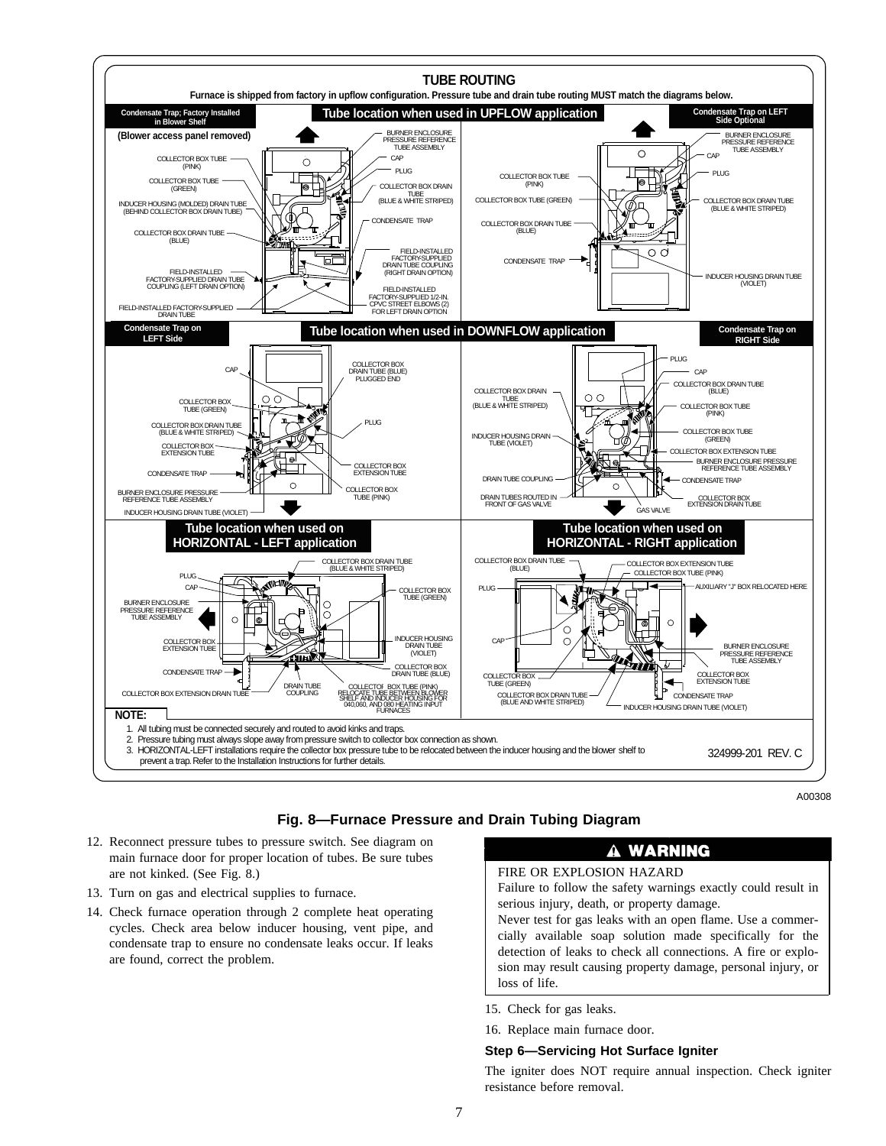

A00308

#### **Fig. 8—Furnace Pressure and Drain Tubing Diagram**

- 12. Reconnect pressure tubes to pressure switch. See diagram on main furnace door for proper location of tubes. Be sure tubes are not kinked. (See Fig. 8.)
- 13. Turn on gas and electrical supplies to furnace.
- 14. Check furnace operation through 2 complete heat operating cycles. Check area below inducer housing, vent pipe, and condensate trap to ensure no condensate leaks occur. If leaks are found, correct the problem.

### **A WARNING**

FIRE OR EXPLOSION HAZARD

Failure to follow the safety warnings exactly could result in serious injury, death, or property damage.

Never test for gas leaks with an open flame. Use a commercially available soap solution made specifically for the detection of leaks to check all connections. A fire or explosion may result causing property damage, personal injury, or loss of life.

- 15. Check for gas leaks.
- 16. Replace main furnace door.

#### **Step 6—Servicing Hot Surface Igniter**

The igniter does NOT require annual inspection. Check igniter resistance before removal.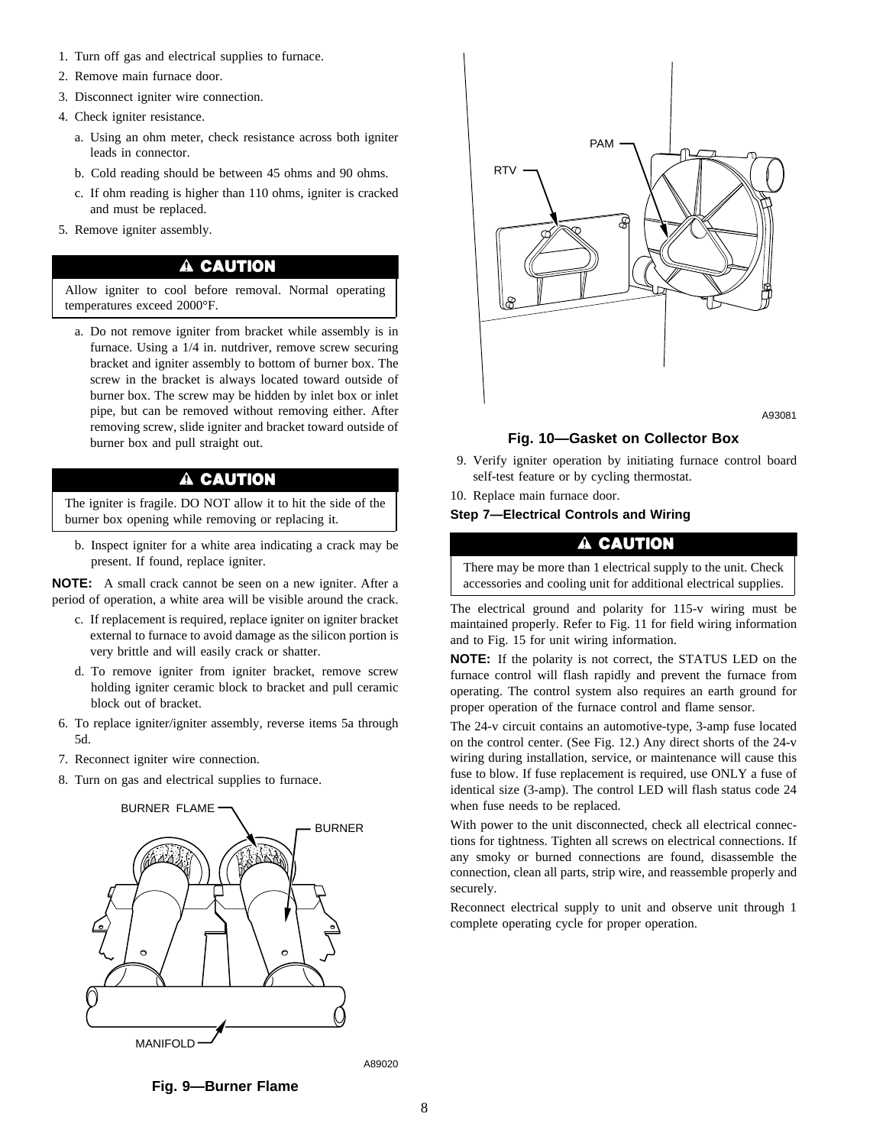- 1. Turn off gas and electrical supplies to furnace.
- 2. Remove main furnace door.
- 3. Disconnect igniter wire connection.
- 4. Check igniter resistance.
	- a. Using an ohm meter, check resistance across both igniter leads in connector.
	- b. Cold reading should be between 45 ohms and 90 ohms.
	- c. If ohm reading is higher than 110 ohms, igniter is cracked and must be replaced.
- 5. Remove igniter assembly.

#### A CAUTION

Allow igniter to cool before removal. Normal operating temperatures exceed 2000°F.

a. Do not remove igniter from bracket while assembly is in furnace. Using a 1/4 in. nutdriver, remove screw securing bracket and igniter assembly to bottom of burner box. The screw in the bracket is always located toward outside of burner box. The screw may be hidden by inlet box or inlet pipe, but can be removed without removing either. After removing screw, slide igniter and bracket toward outside of burner box and pull straight out.

### A CAUTION

The igniter is fragile. DO NOT allow it to hit the side of the burner box opening while removing or replacing it.

b. Inspect igniter for a white area indicating a crack may be present. If found, replace igniter.

**NOTE:** A small crack cannot be seen on a new igniter. After a period of operation, a white area will be visible around the crack.

- c. If replacement is required, replace igniter on igniter bracket external to furnace to avoid damage as the silicon portion is very brittle and will easily crack or shatter.
- d. To remove igniter from igniter bracket, remove screw holding igniter ceramic block to bracket and pull ceramic block out of bracket.
- 6. To replace igniter/igniter assembly, reverse items 5a through 5d.
- 7. Reconnect igniter wire connection.
- 8. Turn on gas and electrical supplies to furnace.





A93081

#### **Fig. 10—Gasket on Collector Box**

- 9. Verify igniter operation by initiating furnace control board self-test feature or by cycling thermostat.
- 10. Replace main furnace door.

**Step 7—Electrical Controls and Wiring**

#### A CAUTION

There may be more than 1 electrical supply to the unit. Check accessories and cooling unit for additional electrical supplies.

The electrical ground and polarity for 115-v wiring must be maintained properly. Refer to Fig. 11 for field wiring information and to Fig. 15 for unit wiring information.

**NOTE:** If the polarity is not correct, the STATUS LED on the furnace control will flash rapidly and prevent the furnace from operating. The control system also requires an earth ground for proper operation of the furnace control and flame sensor.

The 24-v circuit contains an automotive-type, 3-amp fuse located on the control center. (See Fig. 12.) Any direct shorts of the 24-v wiring during installation, service, or maintenance will cause this fuse to blow. If fuse replacement is required, use ONLY a fuse of identical size (3-amp). The control LED will flash status code 24 when fuse needs to be replaced.

With power to the unit disconnected, check all electrical connections for tightness. Tighten all screws on electrical connections. If any smoky or burned connections are found, disassemble the connection, clean all parts, strip wire, and reassemble properly and securely.

Reconnect electrical supply to unit and observe unit through 1 complete operating cycle for proper operation.

**Fig. 9—Burner Flame**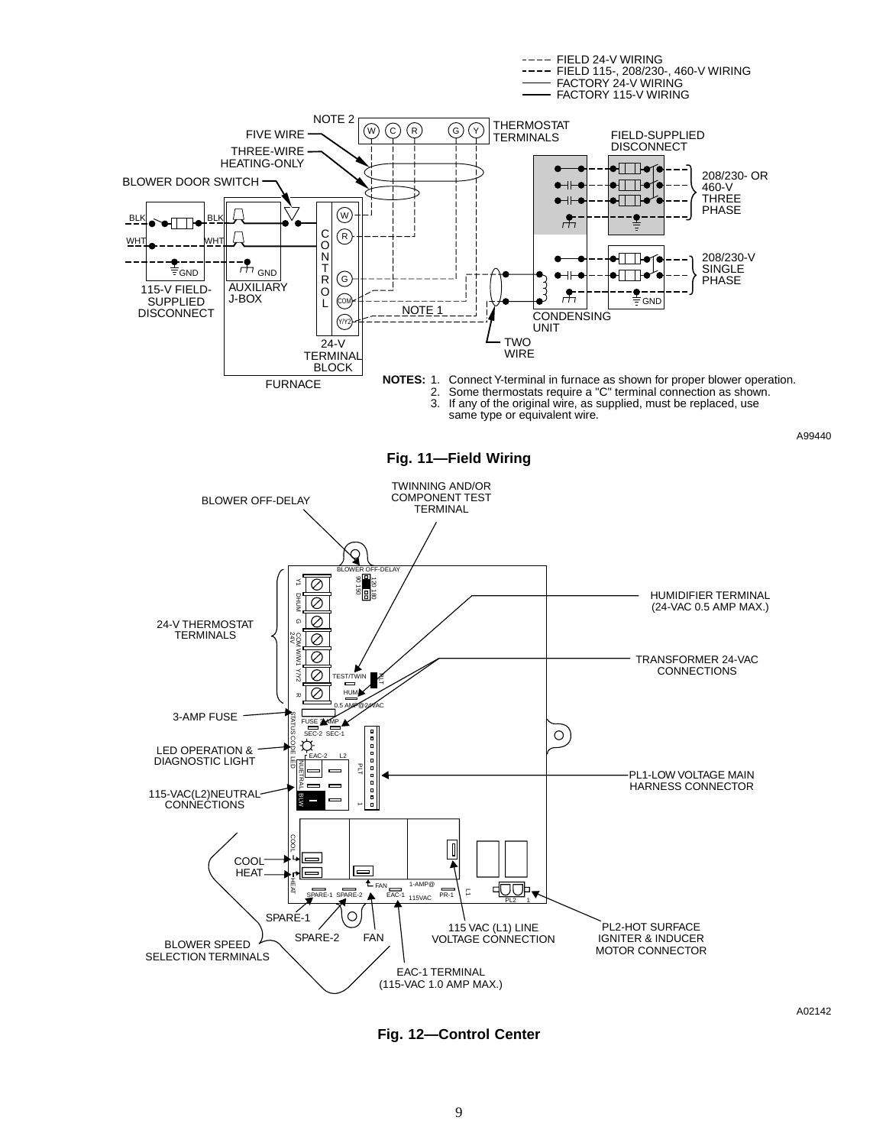

---- FIELD 24-V WIRING

**Fig. 12—Control Center**

A02142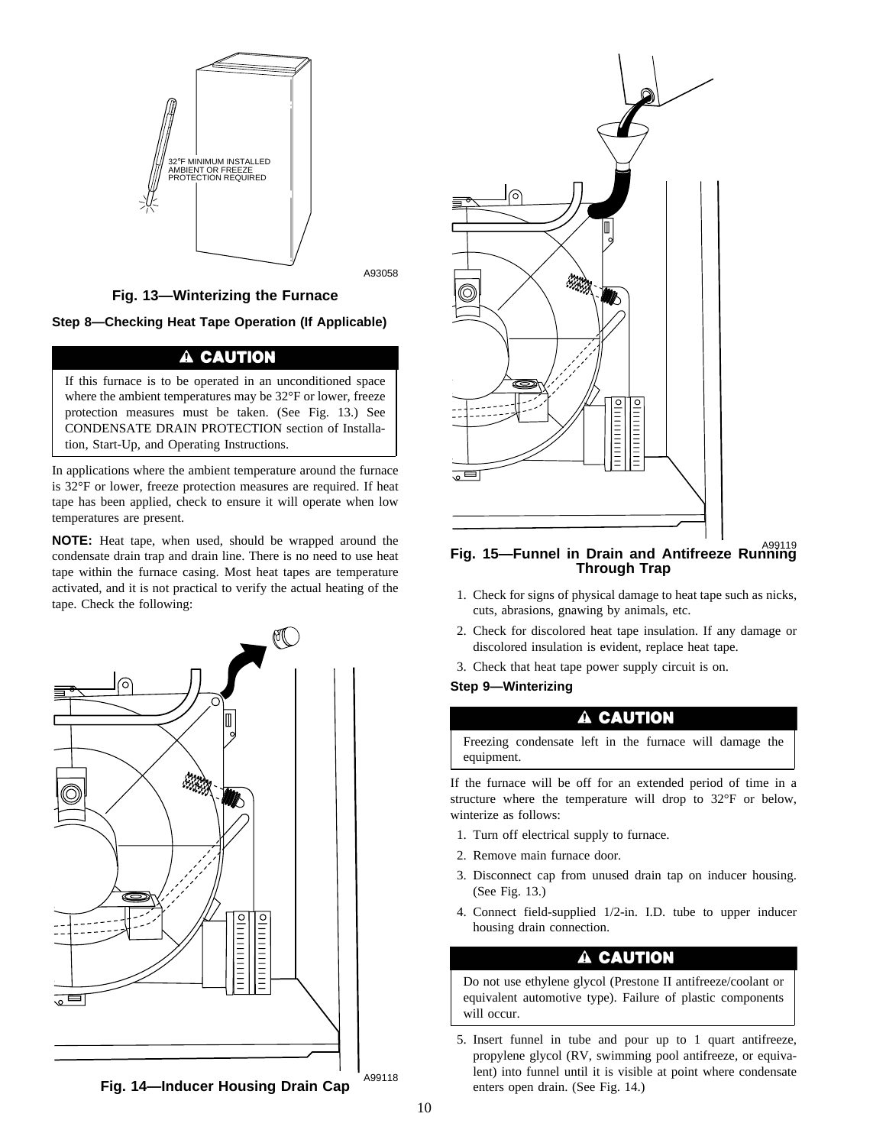

### **Fig. 13—Winterizing the Furnace**

A93058

**Step 8—Checking Heat Tape Operation (If Applicable)**

### A CAUTION

If this furnace is to be operated in an unconditioned space where the ambient temperatures may be 32°F or lower, freeze protection measures must be taken. (See Fig. 13.) See CONDENSATE DRAIN PROTECTION section of Installation, Start-Up, and Operating Instructions.

In applications where the ambient temperature around the furnace is 32°F or lower, freeze protection measures are required. If heat tape has been applied, check to ensure it will operate when low temperatures are present.

**NOTE:** Heat tape, when used, should be wrapped around the condensate drain trap and drain line. There is no need to use heat tape within the furnace casing. Most heat tapes are temperature activated, and it is not practical to verify the actual heating of the activated, and it is not practical to verify the actual neating of the the state. Check for signs of physical damage to heat tape such as nicks, tape. Check the following:





### A99119 **Fig. 15—Funnel in Drain and Antifreeze Running Through Trap**

- cuts, abrasions, gnawing by animals, etc.
- 2. Check for discolored heat tape insulation. If any damage or discolored insulation is evident, replace heat tape.
- 3. Check that heat tape power supply circuit is on.

#### **Step 9—Winterizing**

### A CAUTION

Freezing condensate left in the furnace will damage the equipment.

If the furnace will be off for an extended period of time in a structure where the temperature will drop to 32°F or below, winterize as follows:

- 1. Turn off electrical supply to furnace.
- 2. Remove main furnace door.
- 3. Disconnect cap from unused drain tap on inducer housing. (See Fig. 13.)
- 4. Connect field-supplied 1/2-in. I.D. tube to upper inducer housing drain connection.

## A CAUTION

Do not use ethylene glycol (Prestone II antifreeze/coolant or equivalent automotive type). Failure of plastic components will occur.

5. Insert funnel in tube and pour up to 1 quart antifreeze, propylene glycol (RV, swimming pool antifreeze, or equivalent) into funnel until it is visible at point where condensate enters open drain. (See Fig. 14.)

A99118 **Fig. 14—Inducer Housing Drain Cap**

10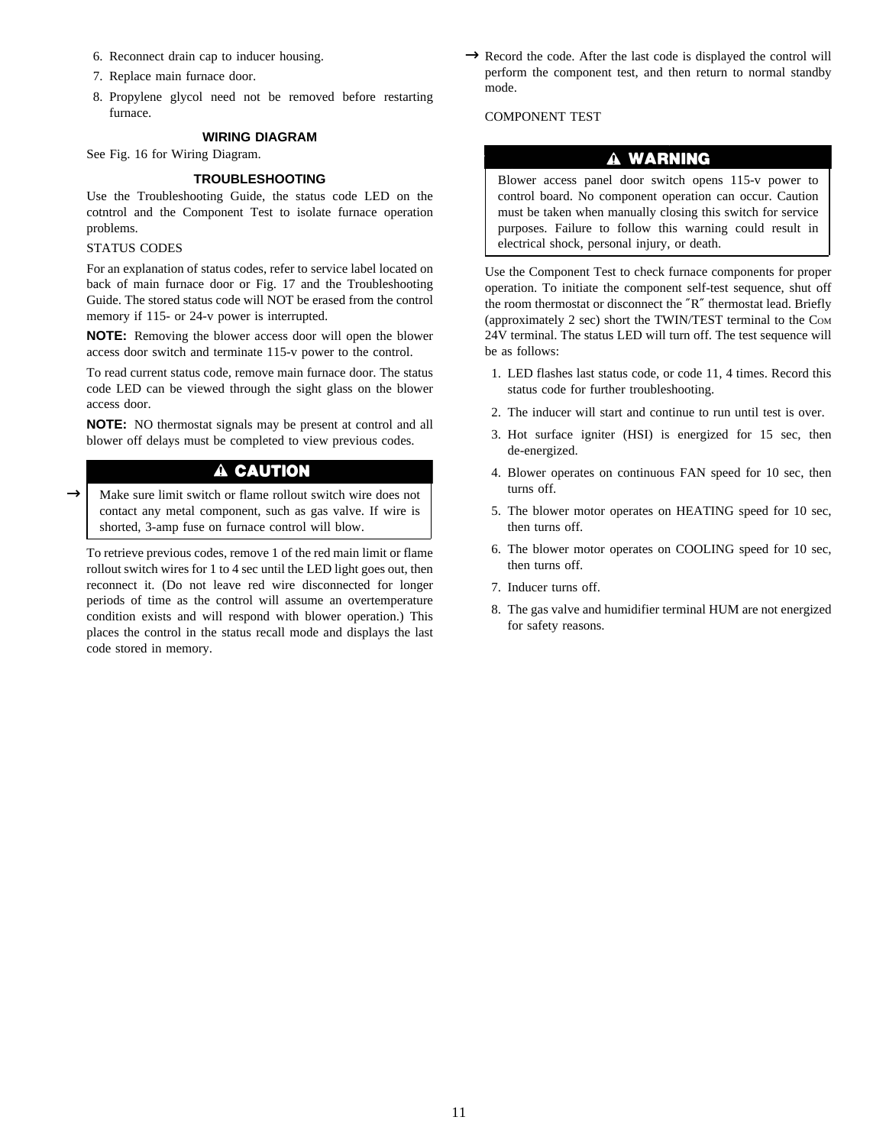- 6. Reconnect drain cap to inducer housing.
- 7. Replace main furnace door.
- 8. Propylene glycol need not be removed before restarting furnace.

#### **WIRING DIAGRAM**

See Fig. 16 for Wiring Diagram.

#### **TROUBLESHOOTING**

Use the Troubleshooting Guide, the status code LED on the cotntrol and the Component Test to isolate furnace operation problems.

#### STATUS CODES

For an explanation of status codes, refer to service label located on back of main furnace door or Fig. 17 and the Troubleshooting Guide. The stored status code will NOT be erased from the control memory if 115- or 24-v power is interrupted.

**NOTE:** Removing the blower access door will open the blower access door switch and terminate 115-v power to the control.

To read current status code, remove main furnace door. The status code LED can be viewed through the sight glass on the blower access door.

**NOTE:** NO thermostat signals may be present at control and all blower off delays must be completed to view previous codes.

### A CAUTION

Make sure limit switch or flame rollout switch wire does not contact any metal component, such as gas valve. If wire is shorted, 3-amp fuse on furnace control will blow.  $\rightarrow$ 

To retrieve previous codes, remove 1 of the red main limit or flame rollout switch wires for 1 to 4 sec until the LED light goes out, then reconnect it. (Do not leave red wire disconnected for longer periods of time as the control will assume an overtemperature condition exists and will respond with blower operation.) This places the control in the status recall mode and displays the last code stored in memory.

 $\rightarrow$  Record the code. After the last code is displayed the control will perform the component test, and then return to normal standby mode.

#### COMPONENT TEST

### A WARNING

Blower access panel door switch opens 115-v power to control board. No component operation can occur. Caution must be taken when manually closing this switch for service purposes. Failure to follow this warning could result in electrical shock, personal injury, or death.

Use the Component Test to check furnace components for proper operation. To initiate the component self-test sequence, shut off the room thermostat or disconnect the ″R″ thermostat lead. Briefly (approximately 2 sec) short the TWIN/TEST terminal to the COM 24V terminal. The status LED will turn off. The test sequence will be as follows:

- 1. LED flashes last status code, or code 11, 4 times. Record this status code for further troubleshooting.
- 2. The inducer will start and continue to run until test is over.
- 3. Hot surface igniter (HSI) is energized for 15 sec, then de-energized.
- 4. Blower operates on continuous FAN speed for 10 sec, then turns off.
- 5. The blower motor operates on HEATING speed for 10 sec, then turns off.
- 6. The blower motor operates on COOLING speed for 10 sec, then turns off.
- 7. Inducer turns off.
- 8. The gas valve and humidifier terminal HUM are not energized for safety reasons.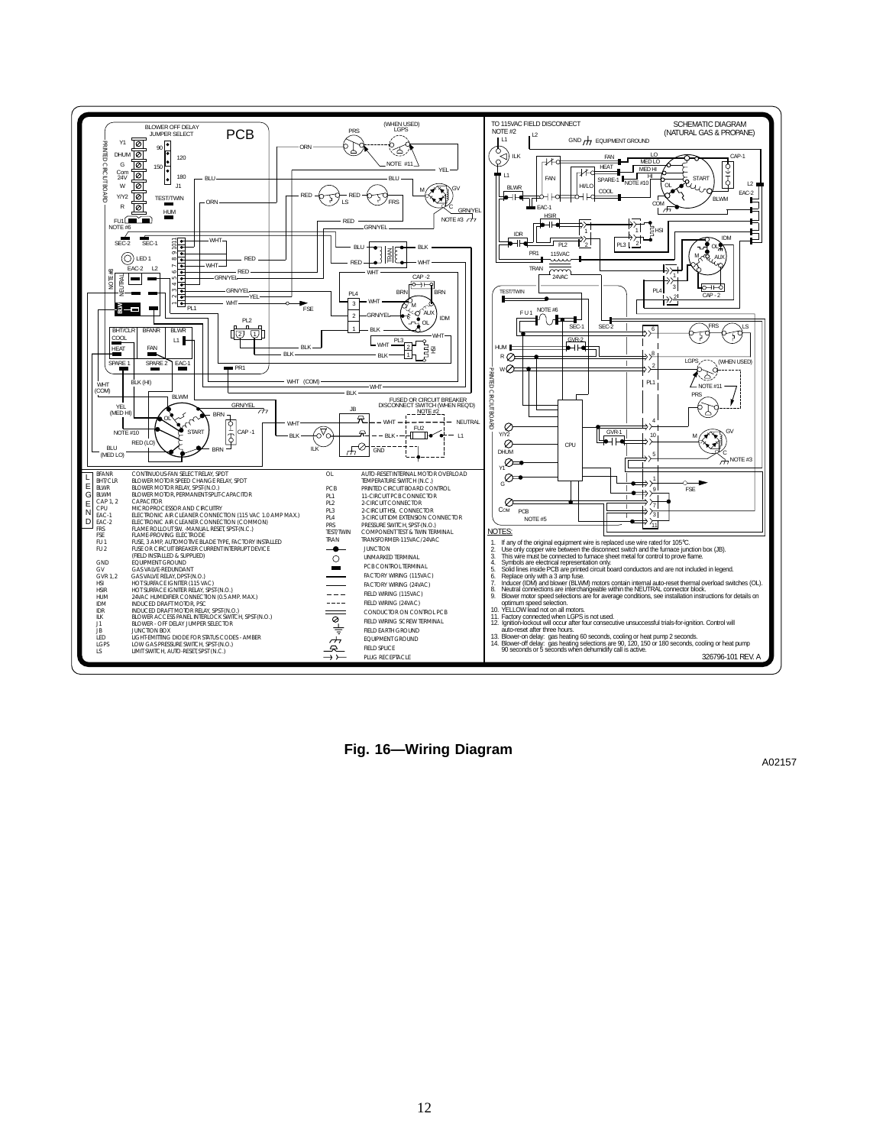

**Fig. 16—Wiring Diagram**

A02157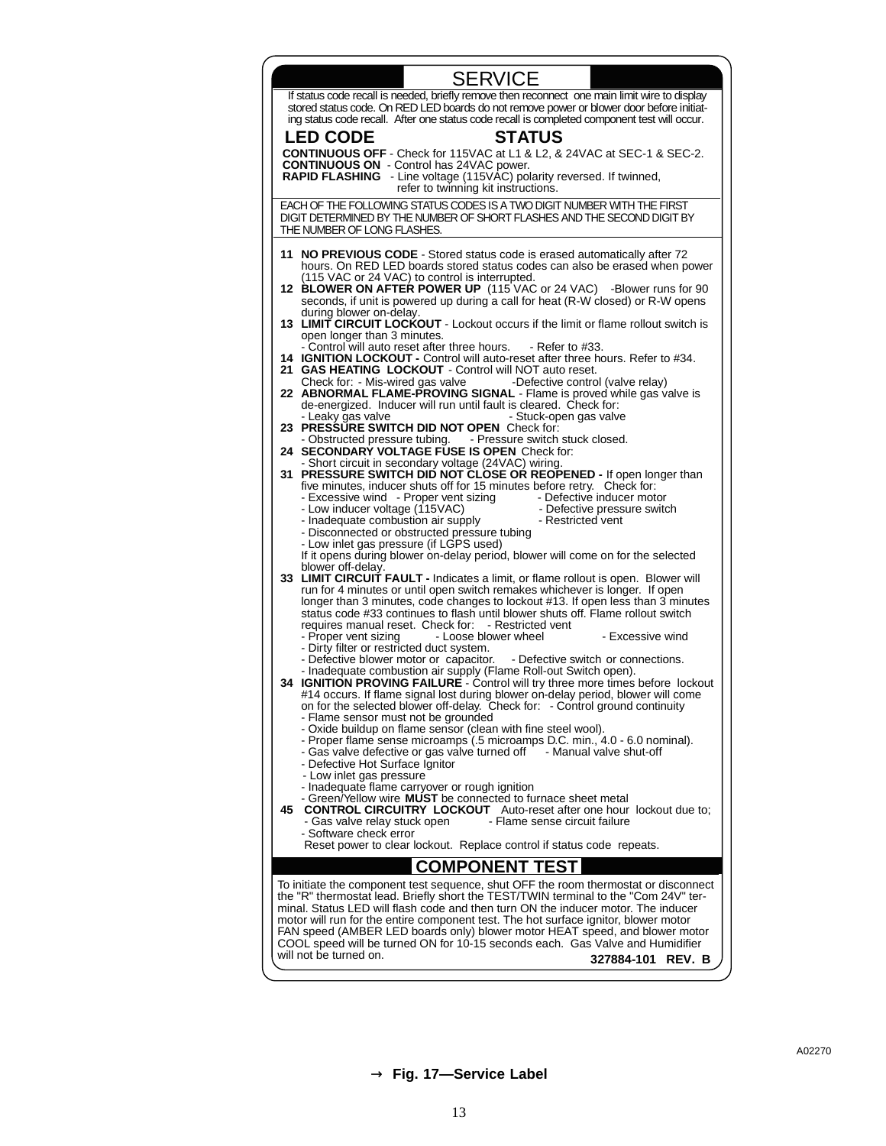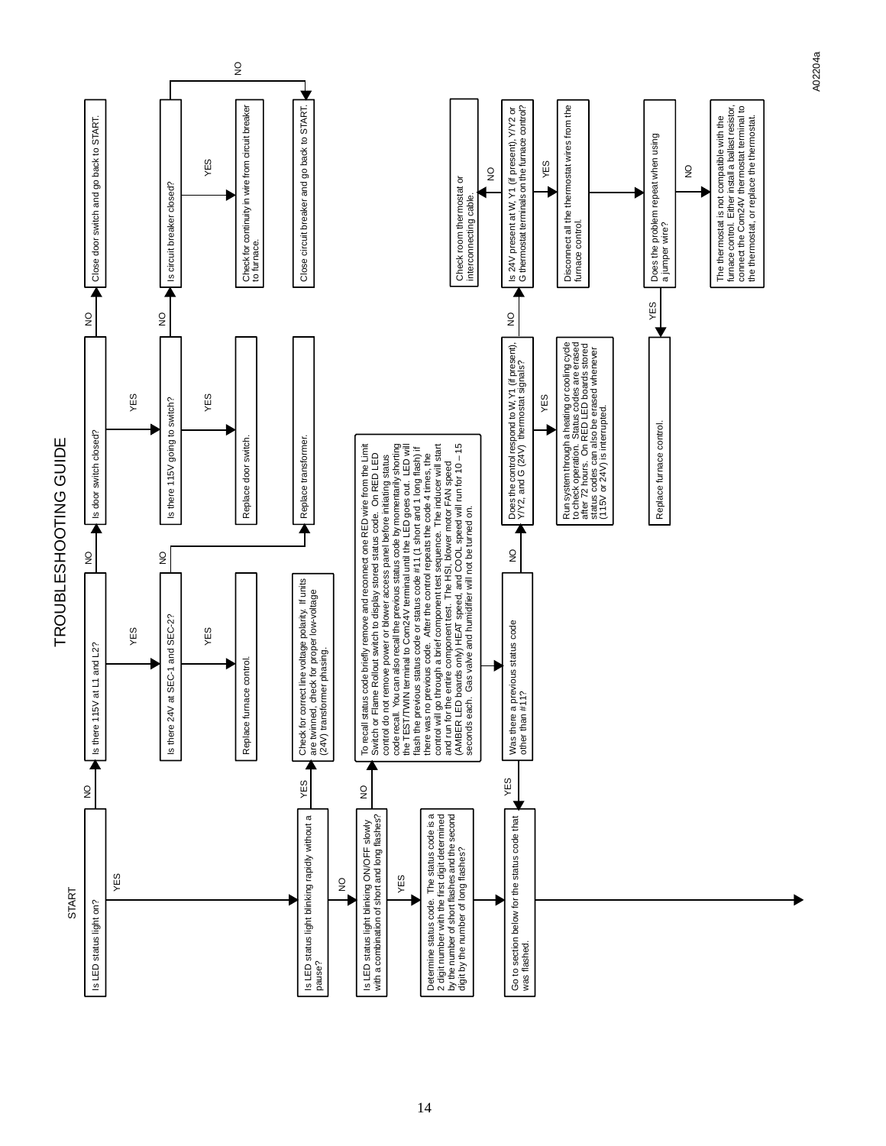

A02204a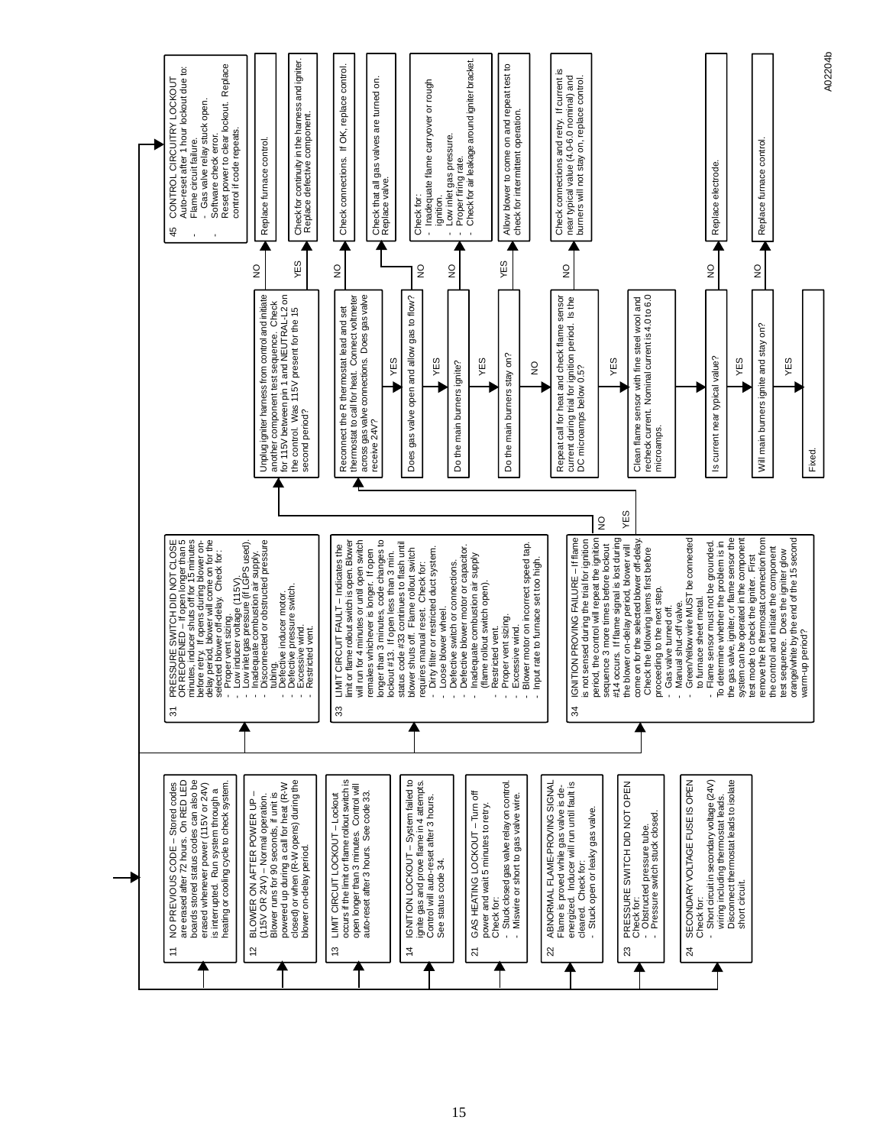